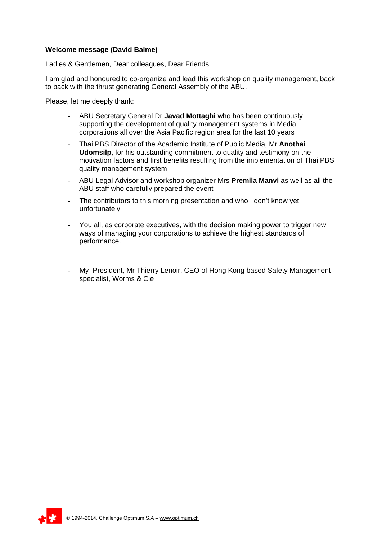## **Welcome message (David Balme)**

Ladies & Gentlemen, Dear colleagues, Dear Friends,

I am glad and honoured to co-organize and lead this workshop on quality management, back to back with the thrust generating General Assembly of the ABU.

Please, let me deeply thank:

- ABU Secretary General Dr **Javad Mottaghi** who has been continuously supporting the development of quality management systems in Media corporations all over the Asia Pacific region area for the last 10 years
- Thai PBS Director of the Academic Institute of Public Media, Mr **Anothai Udomsilp**, for his outstanding commitment to quality and testimony on the motivation factors and first benefits resulting from the implementation of Thai PBS quality management system
- ABU Legal Advisor and workshop organizer Mrs **Premila Manvi** as well as all the ABU staff who carefully prepared the event
- The contributors to this morning presentation and who I don't know yet unfortunately
- You all, as corporate executives, with the decision making power to trigger new ways of managing your corporations to achieve the highest standards of performance.
- My President, Mr Thierry Lenoir, CEO of Hong Kong based Safety Management specialist, Worms & Cie